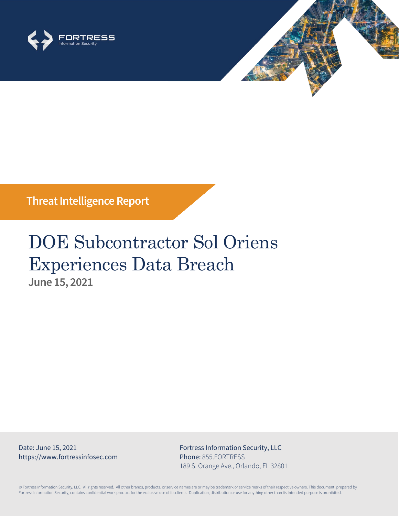



# DOE Subcontractor Sol Oriens Experiences Data Breach **June 15, 2021**

Date: June 15, 2021 https://www.fortressinfosec.com Fortress Information Security, LLC Phone: 855.FORTRESS 189 S. Orange Ave., Orlando, FL 32801

© Fortress Information Security, LLC. All rights reserved. All other brands, products, or service names are or may be trademark or service marks of their respective owners. This document, prepared by Fortress Information Security, contains confidential work product for the exclusive use of its clients. Duplication, distribution or use for anything other than its intended purpose is prohibited.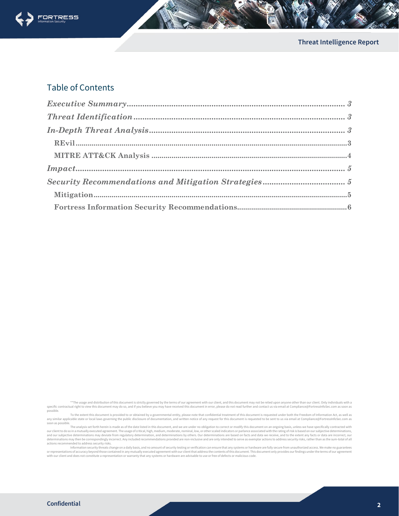

### Table of Contents

\*\*The usage and distribution of this document is strictly governed by the terms of our agreement with our client, and this document may not be relied upon anyone other than our client. Only individuals with a specific contractual right to view this document may do so, and if you believe you may have received this document in error, please do not read further and contact us via email at Compliance@FortressInfoSec.com as soon as possible.

To the extent this document is provided to or obtained by a governmental entity, please note that confidential treatment of this document is requested under both the Freedom of Information Act, as well as any similar applicable state or local laws governing the public disclosure of documentation, and written notice of any request for this document is requested to be sent to us via email at Compliance@FortressInfoSec.com as

soon as possible.<br>The analysis set forth herein is made as of the date listed in this document, and we are under no obligation to correct or modify this document on an ongoing basis, unless we have specifically contracted our client to do so in a mutually executed agreement. The usage of critical, high, medium, moderate, nominal, low, or other scaled indicators or parlance associated with the rating of risk is based on our subjective determ determinations may then be correspondingly incorrect. Any included recommendations provided are non-inclusive and are only intended to serve as exemplar actions to address security risks, rather than as the sum-total of al

or representations of accuracy beyond those contained in any mutually executed agreement with our client that address the contents of this document. This document only provides our findings under the terms of our agreement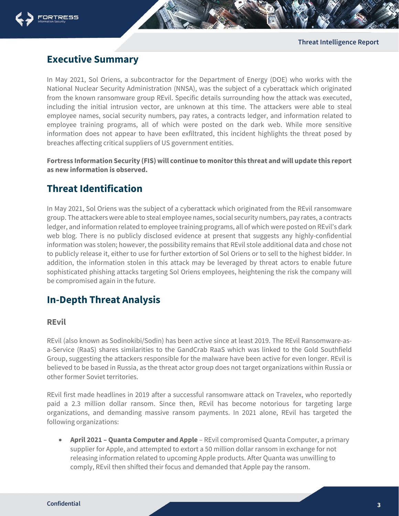



## <span id="page-2-0"></span>**Executive Summary**

In May 2021, Sol Oriens, a subcontractor for the Department of Energy (DOE) who works with the National Nuclear Security Administration (NNSA), was the subject of a cyberattack which originated from the known ransomware group REvil. Specific details surrounding how the attack was executed, including the initial intrusion vector, are unknown at this time. The attackers were able to steal employee names, social security numbers, pay rates, a contracts ledger, and information related to employee training programs, all of which were posted on the dark web. While more sensitive information does not appear to have been exfiltrated, this incident highlights the threat posed by breaches affecting critical suppliers of US government entities.

**Fortress Information Security (FIS) will continue to monitor this threat and will update this report as new information is observed.**

## <span id="page-2-1"></span>**Threat Identification**

In May 2021, Sol Oriens was the subject of a cyberattack which originated from the REvil ransomware group. The attackers were able to steal employee names, social security numbers, pay rates, a contracts ledger, and information related to employee training programs, all of which were posted on REvil's dark web blog. There is no publicly disclosed evidence at present that suggests any highly-confidential information was stolen; however, the possibility remains that REvil stole additional data and chose not to publicly release it, either to use for further extortion of Sol Oriens or to sell to the highest bidder. In addition, the information stolen in this attack may be leveraged by threat actors to enable future sophisticated phishing attacks targeting Sol Oriens employees, heightening the risk the company will be compromised again in the future.

## <span id="page-2-2"></span>**In-Depth Threat Analysis**

#### <span id="page-2-3"></span>**REvil**

REvil (also known as Sodinokibi/Sodin) has been active since at least 2019. The REvil Ransomware-asa-Service (RaaS) shares similarities to the GandCrab RaaS which was linked to the Gold Southfield Group, suggesting the attackers responsible for the malware have been active for even longer. REvil is believed to be based in Russia, as the threat actor group does not target organizations within Russia or other former Soviet territories.

REvil first made headlines in 2019 after a successful ransomware attack on Travelex, who reportedly paid a 2.3 million dollar ransom. Since then, REvil has become notorious for targeting large organizations, and demanding massive ransom payments. In 2021 alone, REvil has targeted the following organizations:

• **April 2021 – Quanta Computer and Apple** – REvil compromised Quanta Computer, a primary supplier for Apple, and attempted to extort a 50 million dollar ransom in exchange for not releasing information related to upcoming Apple products. After Quanta was unwilling to comply, REvil then shifted their focus and demanded that Apple pay the ransom.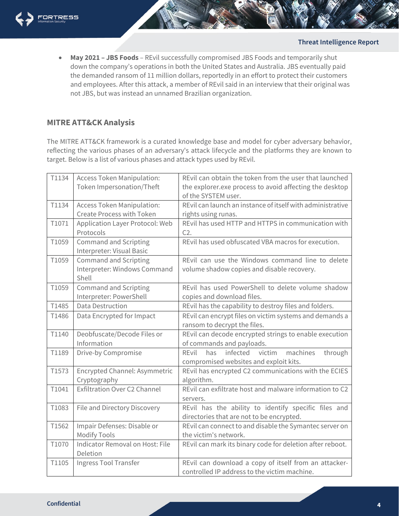

• **May 2021 – JBS Foods** – REvil successfully compromised JBS Foods and temporarily shut down the company's operations in both the United States and Australia. JBS eventually paid the demanded ransom of 11 million dollars, reportedly in an effort to protect their customers and employees. After this attack, a member of REvil said in an interview that their original was not JBS, but was instead an unnamed Brazilian organization.

#### <span id="page-3-0"></span>**MITRE ATT&CK Analysis**

The MITRE ATT&CK framework is a curated knowledge base and model for cyber adversary behavior, reflecting the various phases of an adversary's attack lifecycle and the platforms they are known to target. Below is a list of various phases and attack types used by REvil.

| T1134 | <b>Access Token Manipulation:</b><br>Token Impersonation/Theft        | REvil can obtain the token from the user that launched<br>the explorer.exe process to avoid affecting the desktop |
|-------|-----------------------------------------------------------------------|-------------------------------------------------------------------------------------------------------------------|
|       |                                                                       | of the SYSTEM user.                                                                                               |
| T1134 | <b>Access Token Manipulation:</b>                                     | REvil can launch an instance of itself with administrative                                                        |
|       | <b>Create Process with Token</b>                                      | rights using runas.                                                                                               |
| T1071 | Application Layer Protocol: Web<br>Protocols                          | REvil has used HTTP and HTTPS in communication with<br>C2.                                                        |
| T1059 | <b>Command and Scripting</b><br>Interpreter: Visual Basic             | REvil has used obfuscated VBA macros for execution.                                                               |
| T1059 | <b>Command and Scripting</b><br>Interpreter: Windows Command<br>Shell | REvil can use the Windows command line to delete<br>volume shadow copies and disable recovery.                    |
| T1059 | <b>Command and Scripting</b><br>Interpreter: PowerShell               | REvil has used PowerShell to delete volume shadow<br>copies and download files.                                   |
| T1485 | <b>Data Destruction</b>                                               | REvil has the capability to destroy files and folders.                                                            |
| T1486 | Data Encrypted for Impact                                             | REvil can encrypt files on victim systems and demands a<br>ransom to decrypt the files.                           |
| T1140 | Deobfuscate/Decode Files or                                           | REvil can decode encrypted strings to enable execution                                                            |
|       | Information                                                           | of commands and payloads.                                                                                         |
| T1189 | Drive-by Compromise                                                   | infected<br>machines<br>RFvil<br>has<br>victim<br>through<br>compromised websites and exploit kits.               |
| T1573 | Encrypted Channel: Asymmetric<br>Cryptography                         | REvil has encrypted C2 communications with the ECIES<br>algorithm.                                                |
| T1041 | <b>Exfiltration Over C2 Channel</b>                                   | REvil can exfiltrate host and malware information to C2<br>servers.                                               |
| T1083 | File and Directory Discovery                                          | REvil has the ability to identify specific files and<br>directories that are not to be encrypted.                 |
| T1562 | Impair Defenses: Disable or<br><b>Modify Tools</b>                    | REvil can connect to and disable the Symantec server on<br>the victim's network.                                  |
| T1070 | Indicator Removal on Host: File<br>Deletion                           | REvil can mark its binary code for deletion after reboot.                                                         |
| T1105 | Ingress Tool Transfer                                                 | REvil can download a copy of itself from an attacker-<br>controlled IP address to the victim machine.             |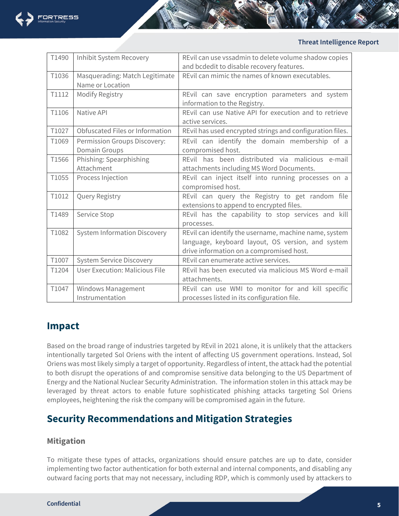

| T1490 | <b>Inhibit System Recovery</b>        | REvil can use vssadmin to delete volume shadow copies     |
|-------|---------------------------------------|-----------------------------------------------------------|
|       |                                       | and bcdedit to disable recovery features.                 |
| T1036 | Masquerading: Match Legitimate        | REvil can mimic the names of known executables.           |
|       | Name or Location                      |                                                           |
| T1112 | Modify Registry                       | REvil can save encryption parameters and system           |
|       |                                       | information to the Registry.                              |
| T1106 | Native API                            | REvil can use Native API for execution and to retrieve    |
|       |                                       | active services.                                          |
| T1027 | Obfuscated Files or Information       | REvil has used encrypted strings and configuration files. |
| T1069 | Permission Groups Discovery:          | REvil can identify the domain membership of a             |
|       | Domain Groups                         | compromised host.                                         |
| T1566 | Phishing: Spearphishing               | REvil has been distributed via malicious e-mail           |
|       | Attachment                            | attachments including MS Word Documents.                  |
| T1055 | Process Injection                     | REvil can inject itself into running processes on a       |
|       |                                       | compromised host.                                         |
| T1012 | Query Registry                        | REvil can query the Registry to get random file           |
|       |                                       | extensions to append to encrypted files.                  |
| T1489 | Service Stop                          | REvil has the capability to stop services and kill        |
|       |                                       | processes.                                                |
| T1082 | <b>System Information Discovery</b>   | REvil can identify the username, machine name, system     |
|       |                                       | language, keyboard layout, OS version, and system         |
|       |                                       | drive information on a compromised host.                  |
| T1007 | <b>System Service Discovery</b>       | REvil can enumerate active services.                      |
| T1204 | <b>User Execution: Malicious File</b> | REvil has been executed via malicious MS Word e-mail      |
|       |                                       | attachments.                                              |
| T1047 | Windows Management                    | REvil can use WMI to monitor for and kill specific        |
|       | Instrumentation                       | processes listed in its configuration file.               |

## <span id="page-4-0"></span>**Impact**

Based on the broad range of industries targeted by REvil in 2021 alone, it is unlikely that the attackers intentionally targeted Sol Oriens with the intent of affecting US government operations. Instead, Sol Oriens was most likely simply a target of opportunity. Regardless of intent, the attack had the potential to both disrupt the operations of and compromise sensitive data belonging to the US Department of Energy and the National Nuclear Security Administration. The information stolen in this attack may be leveraged by threat actors to enable future sophisticated phishing attacks targeting Sol Oriens employees, heightening the risk the company will be compromised again in the future.

## <span id="page-4-1"></span>**Security Recommendations and Mitigation Strategies**

#### <span id="page-4-2"></span>**Mitigation**

To mitigate these types of attacks, organizations should ensure patches are up to date, consider implementing two factor authentication for both external and internal components, and disabling any outward facing ports that may not necessary, including RDP, which is commonly used by attackers to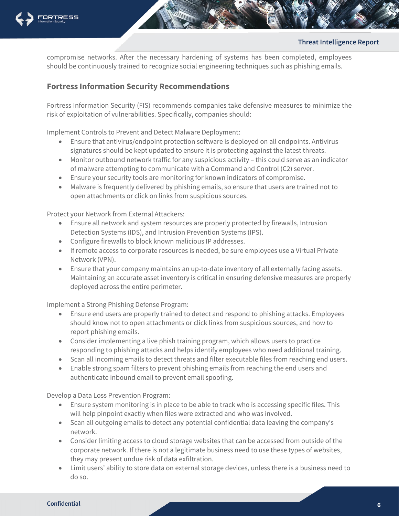

compromise networks. After the necessary hardening of systems has been completed, employees should be continuously trained to recognize social engineering techniques such as phishing emails.

#### <span id="page-5-0"></span>**Fortress Information Security Recommendations**

Fortress Information Security (FIS) recommends companies take defensive measures to minimize the risk of exploitation of vulnerabilities. Specifically, companies should:

Implement Controls to Prevent and Detect Malware Deployment:

- Ensure that antivirus/endpoint protection software is deployed on all endpoints. Antivirus signatures should be kept updated to ensure it is protecting against the latest threats.
- Monitor outbound network traffic for any suspicious activity this could serve as an indicator of malware attempting to communicate with a Command and Control (C2) server.
- Ensure your security tools are monitoring for known indicators of compromise.
- Malware is frequently delivered by phishing emails, so ensure that users are trained not to open attachments or click on links from suspicious sources.

Protect your Network from External Attackers:

- Ensure all network and system resources are properly protected by firewalls, Intrusion Detection Systems (IDS), and Intrusion Prevention Systems (IPS).
- Configure firewalls to block known malicious IP addresses.
- If remote access to corporate resources is needed, be sure employees use a Virtual Private Network (VPN).
- Ensure that your company maintains an up-to-date inventory of all externally facing assets. Maintaining an accurate asset inventory is critical in ensuring defensive measures are properly deployed across the entire perimeter.

Implement a Strong Phishing Defense Program:

- Ensure end users are properly trained to detect and respond to phishing attacks. Employees should know not to open attachments or click links from suspicious sources, and how to report phishing emails.
- Consider implementing a live phish training program, which allows users to practice responding to phishing attacks and helps identify employees who need additional training.
- Scan all incoming emails to detect threats and filter executable files from reaching end users.
- Enable strong spam filters to prevent phishing emails from reaching the end users and authenticate inbound email to prevent email spoofing.

Develop a Data Loss Prevention Program:

- Ensure system monitoring is in place to be able to track who is accessing specific files. This will help pinpoint exactly when files were extracted and who was involved.
- Scan all outgoing emails to detect any potential confidential data leaving the company's network.
- Consider limiting access to cloud storage websites that can be accessed from outside of the corporate network. If there is not a legitimate business need to use these types of websites, they may present undue risk of data exfiltration.
- Limit users' ability to store data on external storage devices, unless there is a business need to do so.